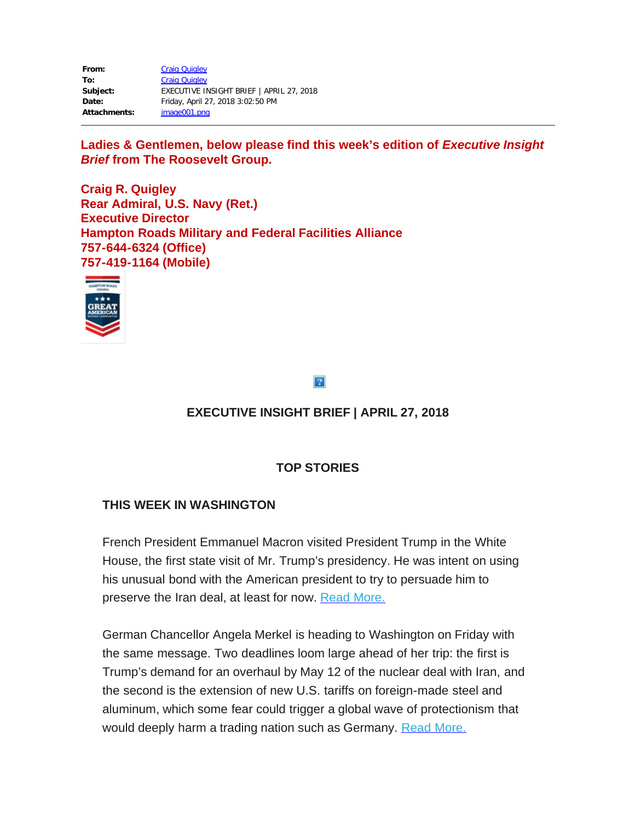| From:               | <b>Craig Quigley</b>                     |
|---------------------|------------------------------------------|
| To:                 | <b>Craig Quigley</b>                     |
| Subject:            | EXECUTIVE INSIGHT BRIEF   APRIL 27, 2018 |
| Date:               | Friday, April 27, 2018 3:02:50 PM        |
| <b>Attachments:</b> | image001.png                             |

Ladies & Gentlemen, below please find this week's edition of *Executive Insight Brief* **from The Roosevelt Group.**

**Craig R. Quigley Rear Admiral, U.S. Navy (Ret.) Executive Director Hampton Roads Military and Federal Facilities Alliance 757-644-6324 (Office) 757-419-1164 (Mobile)**



 $\overline{?}$ 

# **EXECUTIVE INSIGHT BRIEF | APRIL 27, 2018**

## **TOP STORIES**

## **THIS WEEK IN WASHINGTON**

French President Emmanuel Macron visited President Trump in the White House, the first state visit of Mr. Trump's presidency. He was intent on using his unusual bond with the American president to try to persuade him to preserve the Iran deal, at least for now. [Read More.](https://rooseveltdc.us12.list-manage.com/track/click?u=322456b7b4ad08c1b4904c407&id=d53f8867e1&e=5c6d0a3b33)

German Chancellor Angela Merkel is heading to Washington on Friday with the same message. Two deadlines loom large ahead of her trip: the first is Trump's demand for an overhaul by May 12 of the nuclear deal with Iran, and the second is the extension of new U.S. tariffs on foreign-made steel and aluminum, which some fear could trigger a global wave of protectionism that would deeply harm a trading nation such as Germany. [Read More.](https://rooseveltdc.us12.list-manage.com/track/click?u=322456b7b4ad08c1b4904c407&id=c623e8feea&e=5c6d0a3b33)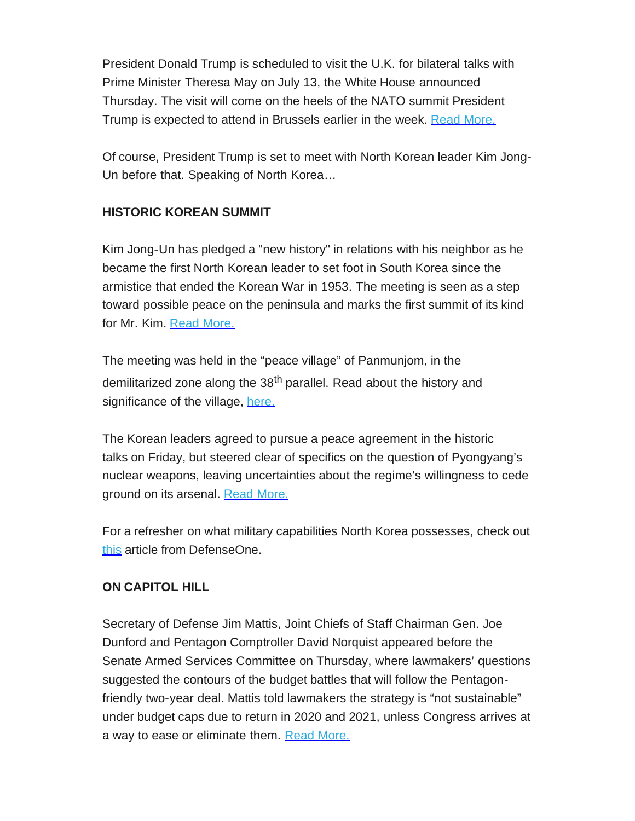President Donald Trump is scheduled to visit the U.K. for bilateral talks with Prime Minister Theresa May on July 13, the White House announced Thursday. The visit will come on the heels of the NATO summit President Trump is expected to attend in Brussels earlier in the week. [Read More.](https://rooseveltdc.us12.list-manage.com/track/click?u=322456b7b4ad08c1b4904c407&id=9a99b4b849&e=5c6d0a3b33)

Of course, President Trump is set to meet with North Korean leader Kim Jong-Un before that. Speaking of North Korea…

## **HISTORIC KOREAN SUMMIT**

Kim Jong-Un has pledged a "new history" in relations with his neighbor as he became the first North Korean leader to set foot in South Korea since the armistice that ended the Korean War in 1953. The meeting is seen as a step toward possible peace on the peninsula and marks the first summit of its kind for Mr. Kim. [Read More.](https://rooseveltdc.us12.list-manage.com/track/click?u=322456b7b4ad08c1b4904c407&id=f41887e2c6&e=5c6d0a3b33)

The meeting was held in the "peace village" of Panmunjom, in the demilitarized zone along the 38<sup>th</sup> parallel. Read about the history and significance of the village, [here.](https://rooseveltdc.us12.list-manage.com/track/click?u=322456b7b4ad08c1b4904c407&id=77b6e9e6e5&e=5c6d0a3b33)

The Korean leaders agreed to pursue a peace agreement in the historic talks on Friday, but steered clear of specifics on the question of Pyongyang's nuclear weapons, leaving uncertainties about the regime's willingness to cede ground on its arsenal. [Read More.](https://rooseveltdc.us12.list-manage.com/track/click?u=322456b7b4ad08c1b4904c407&id=ba9ebd28e1&e=5c6d0a3b33)

For a refresher on what military capabilities North Korea possesses, check out [this](https://rooseveltdc.us12.list-manage.com/track/click?u=322456b7b4ad08c1b4904c407&id=03cf839ed3&e=5c6d0a3b33) article from DefenseOne.

### **ON CAPITOL HILL**

Secretary of Defense Jim Mattis, Joint Chiefs of Staff Chairman Gen. Joe Dunford and Pentagon Comptroller David Norquist appeared before the Senate Armed Services Committee on Thursday, where lawmakers' questions suggested the contours of the budget battles that will follow the Pentagonfriendly two-year deal. Mattis told lawmakers the strategy is "not sustainable" under budget caps due to return in 2020 and 2021, unless Congress arrives at a way to ease or eliminate them. [Read More.](https://rooseveltdc.us12.list-manage.com/track/click?u=322456b7b4ad08c1b4904c407&id=fee2a747a5&e=5c6d0a3b33)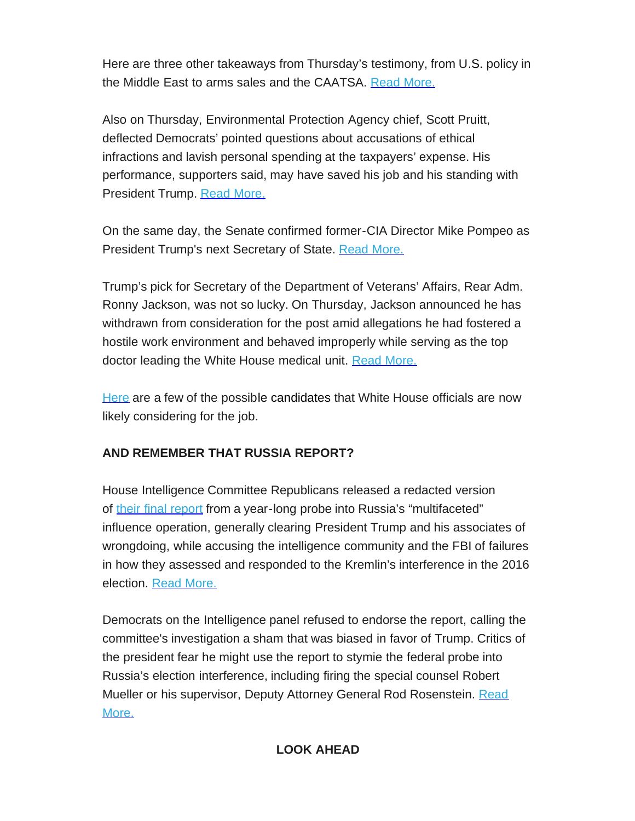Here are three other takeaways from Thursday's testimony, from U.S. policy in the Middle East to arms sales and the CAATSA. [Read More.](https://rooseveltdc.us12.list-manage.com/track/click?u=322456b7b4ad08c1b4904c407&id=b8630a8a36&e=5c6d0a3b33)

Also on Thursday, Environmental Protection Agency chief, Scott Pruitt, deflected Democrats' pointed questions about accusations of ethical infractions and lavish personal spending at the taxpayers' expense. His performance, supporters said, may have saved his job and his standing with President Trump. [Read More.](https://rooseveltdc.us12.list-manage.com/track/click?u=322456b7b4ad08c1b4904c407&id=a3d3c4bafb&e=5c6d0a3b33)

On the same day, the Senate confirmed former-CIA Director Mike Pompeo as President Trump's next Secretary of State. [Read More.](https://rooseveltdc.us12.list-manage.com/track/click?u=322456b7b4ad08c1b4904c407&id=9bdc941d84&e=5c6d0a3b33)

Trump's pick for Secretary of the Department of Veterans' Affairs, Rear Adm. Ronny Jackson, was not so lucky. On Thursday, Jackson announced he has withdrawn from consideration for the post amid allegations he had fostered a hostile work environment and behaved improperly while serving as the top doctor leading the White House medical unit. [Read More.](https://rooseveltdc.us12.list-manage.com/track/click?u=322456b7b4ad08c1b4904c407&id=327b83aaf9&e=5c6d0a3b33)

[Here](https://rooseveltdc.us12.list-manage.com/track/click?u=322456b7b4ad08c1b4904c407&id=39c6962e41&e=5c6d0a3b33) are a few of the possible candidates that White House officials are now likely considering for the job.

## **AND REMEMBER THAT RUSSIA REPORT?**

House Intelligence Committee Republicans released a redacted version of [their final report](https://rooseveltdc.us12.list-manage.com/track/click?u=322456b7b4ad08c1b4904c407&id=ced56b4ac4&e=5c6d0a3b33) from a year-long probe into Russia's "multifaceted" influence operation, generally clearing President Trump and his associates of wrongdoing, while accusing the intelligence community and the FBI of failures in how they assessed and responded to the Kremlin's interference in the 2016 election. [Read More.](https://rooseveltdc.us12.list-manage.com/track/click?u=322456b7b4ad08c1b4904c407&id=c961829c60&e=5c6d0a3b33)

Democrats on the Intelligence panel refused to endorse the report, calling the committee's investigation a sham that was biased in favor of Trump. Critics of the president fear he might use the report to stymie the federal probe into Russia's election interference, including firing the special counsel Robert Mueller or his supervisor, Deputy Attorney General Rod Rosenstein. [Read](https://rooseveltdc.us12.list-manage.com/track/click?u=322456b7b4ad08c1b4904c407&id=d452fbbaa3&e=5c6d0a3b33) [More.](https://rooseveltdc.us12.list-manage.com/track/click?u=322456b7b4ad08c1b4904c407&id=d452fbbaa3&e=5c6d0a3b33)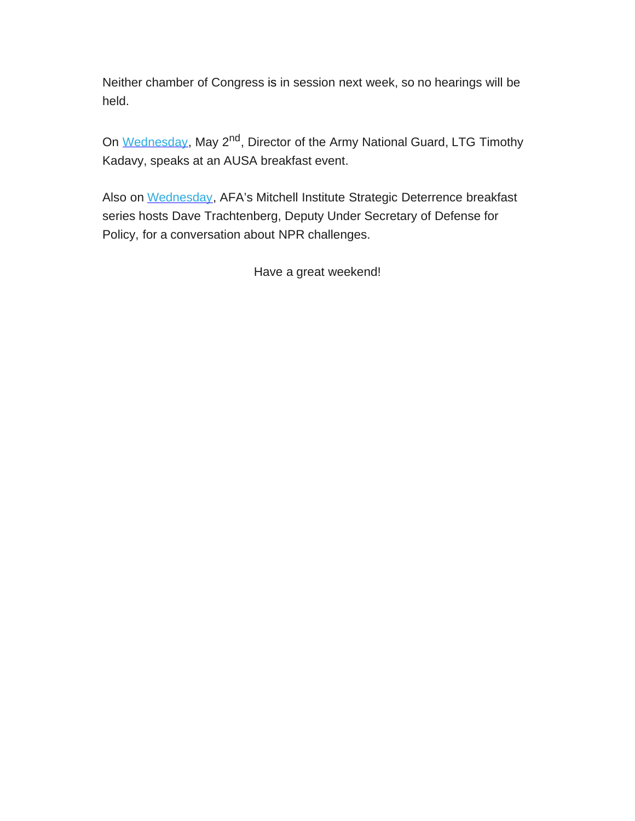Neither chamber of Congress is in session next week, so no hearings will be held.

On [Wednesday](https://rooseveltdc.us12.list-manage.com/track/click?u=322456b7b4ad08c1b4904c407&id=56fd9ab871&e=5c6d0a3b33), May 2<sup>nd</sup>, Director of the Army National Guard, LTG Timothy Kadavy, speaks at an AUSA breakfast event.

Also on [Wednesday](https://rooseveltdc.us12.list-manage.com/track/click?u=322456b7b4ad08c1b4904c407&id=c7215ff7a2&e=5c6d0a3b33), AFA's Mitchell Institute Strategic Deterrence breakfast series hosts Dave Trachtenberg, Deputy Under Secretary of Defense for Policy, for a conversation about NPR challenges.

Have a great weekend!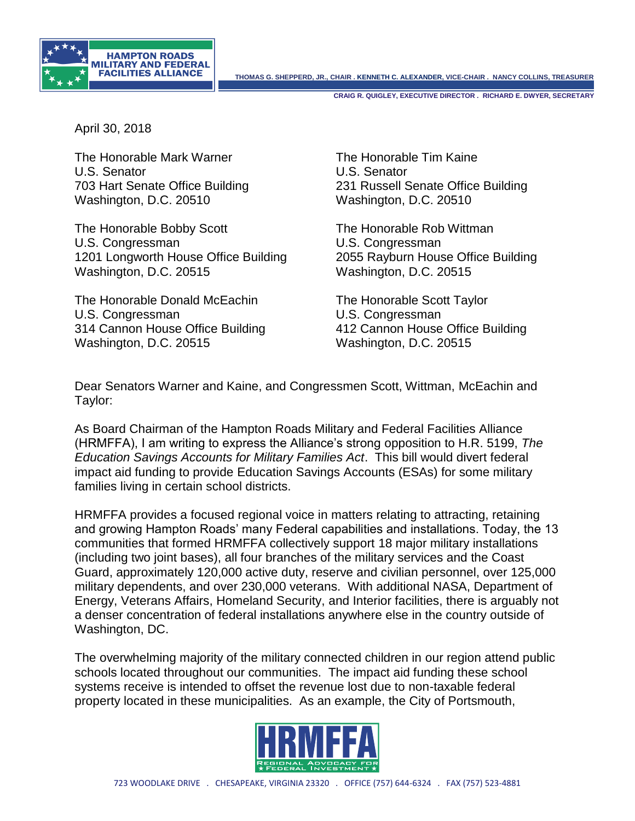

**THOMAS G. SHEPPERD, JR., CHAIR . KENNETH C. ALEXANDER, VICE-CHAIR . NANCY COLLINS, TREASURER**

**CRAIG R. QUIGLEY, EXECUTIVE DIRECTOR . RICHARD E. DWYER, SECRETARY**

April 30, 2018

The Honorable Mark Warner The Honorable Tim Kaine U.S. Senator U.S. Senator Washington, D.C. 20510 Washington, D.C. 20510

The Honorable Bobby Scott The Honorable Rob Wittman U.S. Congressman U.S. Congressman 1201 Longworth House Office Building 2055 Rayburn House Office Building Washington, D.C. 20515 Washington, D.C. 20515

The Honorable Donald McEachin The Honorable Scott Taylor U.S. Congressman U.S. Congressman Washington, D.C. 20515 Washington, D.C. 20515

703 Hart Senate Office Building 231 Russell Senate Office Building

314 Cannon House Office Building 412 Cannon House Office Building

Dear Senators Warner and Kaine, and Congressmen Scott, Wittman, McEachin and Taylor:

As Board Chairman of the Hampton Roads Military and Federal Facilities Alliance (HRMFFA), I am writing to express the Alliance's strong opposition to H.R. 5199, *The Education Savings Accounts for Military Families Act*. This bill would divert federal impact aid funding to provide Education Savings Accounts (ESAs) for some military families living in certain school districts.

HRMFFA provides a focused regional voice in matters relating to attracting, retaining and growing Hampton Roads' many Federal capabilities and installations. Today, the 13 communities that formed HRMFFA collectively support 18 major military installations (including two joint bases), all four branches of the military services and the Coast Guard, approximately 120,000 active duty, reserve and civilian personnel, over 125,000 military dependents, and over 230,000 veterans. With additional NASA, Department of Energy, Veterans Affairs, Homeland Security, and Interior facilities, there is arguably not a denser concentration of federal installations anywhere else in the country outside of Washington, DC.

The overwhelming majority of the military connected children in our region attend public schools located throughout our communities. The impact aid funding these school systems receive is intended to offset the revenue lost due to non-taxable federal property located in these municipalities. As an example, the City of Portsmouth,